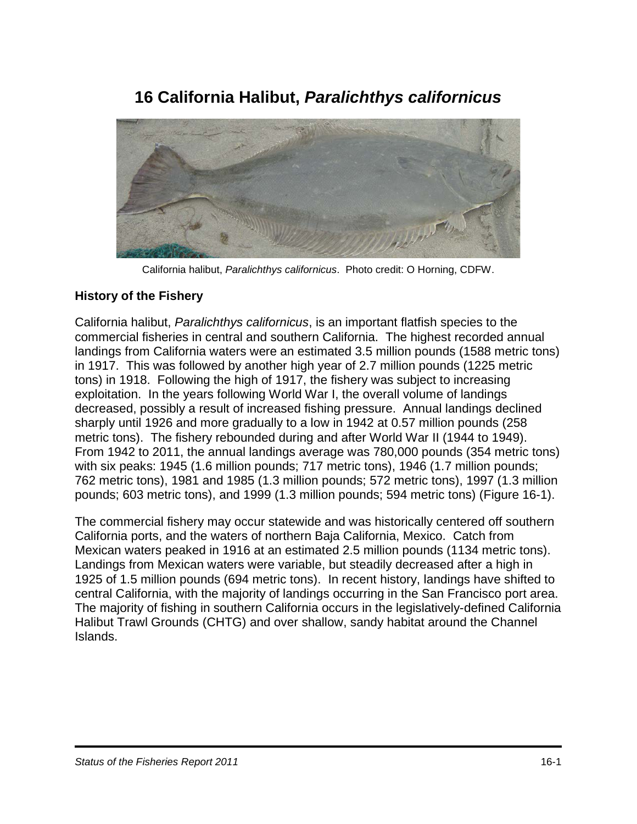# **16 California Halibut,** *Paralichthys californicus*



California halibut, *Paralichthys californicus*. Photo credit: O Horning, CDFW.

### **History of the Fishery**

California halibut, *Paralichthys californicus*, is an important flatfish species to the commercial fisheries in central and southern California. The highest recorded annual landings from California waters were an estimated 3.5 million pounds (1588 metric tons) in 1917. This was followed by another high year of 2.7 million pounds (1225 metric tons) in 1918. Following the high of 1917, the fishery was subject to increasing exploitation. In the years following World War I, the overall volume of landings decreased, possibly a result of increased fishing pressure. Annual landings declined sharply until 1926 and more gradually to a low in 1942 at 0.57 million pounds (258 metric tons). The fishery rebounded during and after World War II (1944 to 1949). From 1942 to 2011, the annual landings average was 780,000 pounds (354 metric tons) with six peaks: 1945 (1.6 million pounds; 717 metric tons), 1946 (1.7 million pounds; 762 metric tons), 1981 and 1985 (1.3 million pounds; 572 metric tons), 1997 (1.3 million pounds; 603 metric tons), and 1999 (1.3 million pounds; 594 metric tons) (Figure 16-1).

The commercial fishery may occur statewide and was historically centered off southern California ports, and the waters of northern Baja California, Mexico. Catch from Mexican waters peaked in 1916 at an estimated 2.5 million pounds (1134 metric tons). Landings from Mexican waters were variable, but steadily decreased after a high in 1925 of 1.5 million pounds (694 metric tons). In recent history, landings have shifted to central California, with the majority of landings occurring in the San Francisco port area. The majority of fishing in southern California occurs in the legislatively-defined California Halibut Trawl Grounds (CHTG) and over shallow, sandy habitat around the Channel Islands.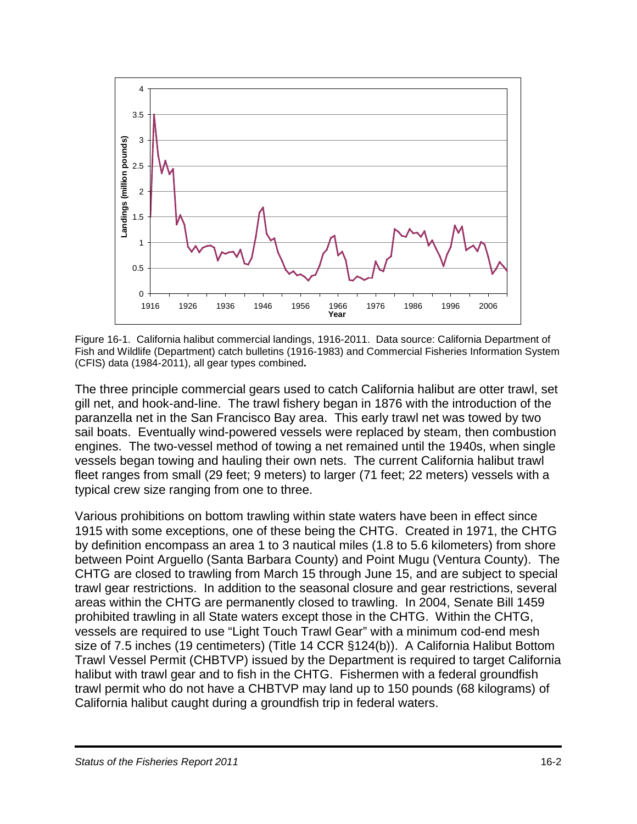

Figure 16-1. California halibut commercial landings, 1916-2011. Data source: California Department of Fish and Wildlife (Department) catch bulletins (1916-1983) and Commercial Fisheries Information System (CFIS) data (1984-2011), all gear types combined**.**

The three principle commercial gears used to catch California halibut are otter trawl, set gill net, and hook-and-line. The trawl fishery began in 1876 with the introduction of the paranzella net in the San Francisco Bay area. This early trawl net was towed by two sail boats. Eventually wind-powered vessels were replaced by steam, then combustion engines. The two-vessel method of towing a net remained until the 1940s, when single vessels began towing and hauling their own nets. The current California halibut trawl fleet ranges from small (29 feet; 9 meters) to larger (71 feet; 22 meters) vessels with a typical crew size ranging from one to three.

Various prohibitions on bottom trawling within state waters have been in effect since 1915 with some exceptions, one of these being the CHTG. Created in 1971, the CHTG by definition encompass an area 1 to 3 nautical miles (1.8 to 5.6 kilometers) from shore between Point Arguello (Santa Barbara County) and Point Mugu (Ventura County). The CHTG are closed to trawling from March 15 through June 15, and are subject to special trawl gear restrictions. In addition to the seasonal closure and gear restrictions, several areas within the CHTG are permanently closed to trawling. In 2004, Senate Bill 1459 prohibited trawling in all State waters except those in the CHTG. Within the CHTG, vessels are required to use "Light Touch Trawl Gear" with a minimum cod-end mesh size of 7.5 inches (19 centimeters) (Title 14 CCR §124(b)). A California Halibut Bottom Trawl Vessel Permit (CHBTVP) issued by the Department is required to target California halibut with trawl gear and to fish in the CHTG. Fishermen with a federal groundfish trawl permit who do not have a CHBTVP may land up to 150 pounds (68 kilograms) of California halibut caught during a groundfish trip in federal waters.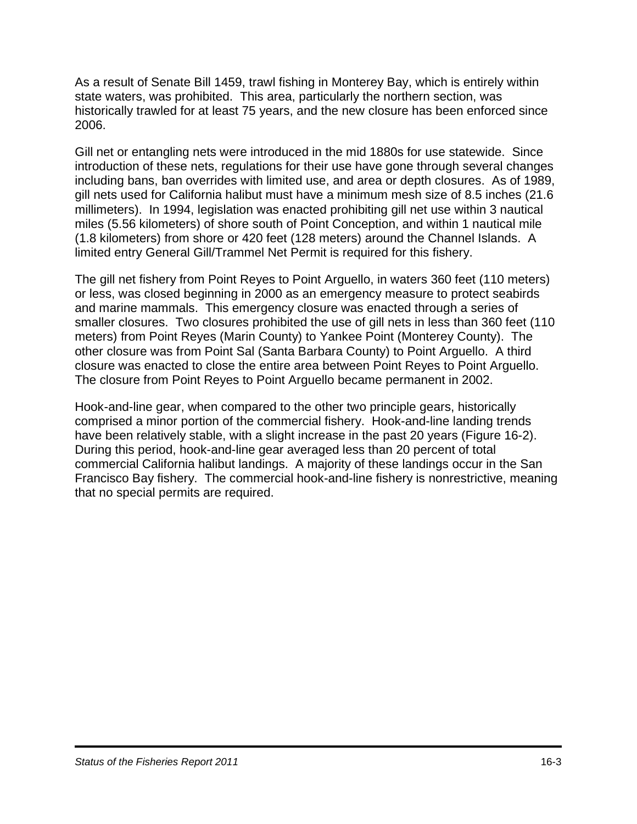As a result of Senate Bill 1459, trawl fishing in Monterey Bay, which is entirely within state waters, was prohibited. This area, particularly the northern section, was historically trawled for at least 75 years, and the new closure has been enforced since 2006.

Gill net or entangling nets were introduced in the mid 1880s for use statewide. Since introduction of these nets, regulations for their use have gone through several changes including bans, ban overrides with limited use, and area or depth closures. As of 1989, gill nets used for California halibut must have a minimum mesh size of 8.5 inches (21.6 millimeters). In 1994, legislation was enacted prohibiting gill net use within 3 nautical miles (5.56 kilometers) of shore south of Point Conception, and within 1 nautical mile (1.8 kilometers) from shore or 420 feet (128 meters) around the Channel Islands. A limited entry General Gill/Trammel Net Permit is required for this fishery.

The gill net fishery from Point Reyes to Point Arguello, in waters 360 feet (110 meters) or less, was closed beginning in 2000 as an emergency measure to protect seabirds and marine mammals. This emergency closure was enacted through a series of smaller closures. Two closures prohibited the use of gill nets in less than 360 feet (110 meters) from Point Reyes (Marin County) to Yankee Point (Monterey County). The other closure was from Point Sal (Santa Barbara County) to Point Arguello. A third closure was enacted to close the entire area between Point Reyes to Point Arguello. The closure from Point Reyes to Point Arguello became permanent in 2002.

Hook-and-line gear, when compared to the other two principle gears, historically comprised a minor portion of the commercial fishery. Hook-and-line landing trends have been relatively stable, with a slight increase in the past 20 years (Figure 16-2). During this period, hook-and-line gear averaged less than 20 percent of total commercial California halibut landings. A majority of these landings occur in the San Francisco Bay fishery. The commercial hook-and-line fishery is nonrestrictive, meaning that no special permits are required.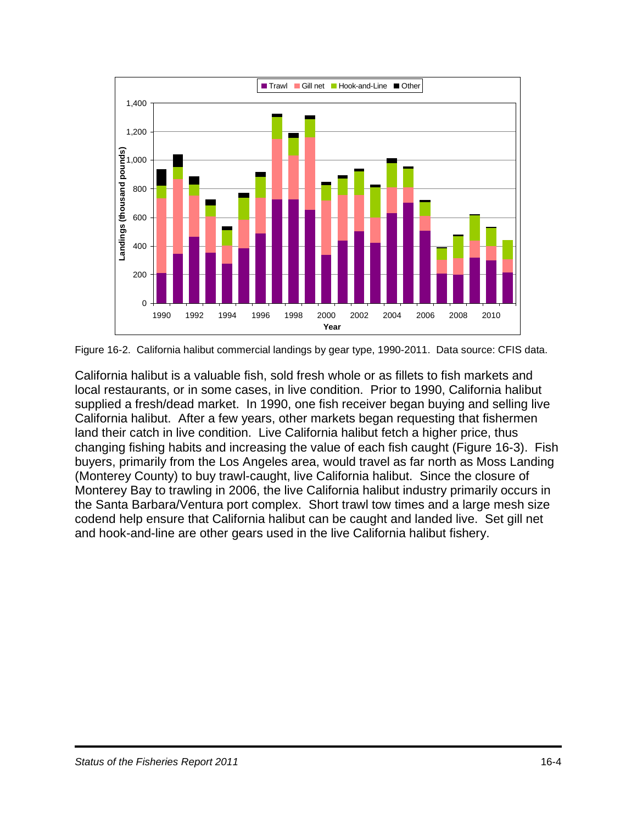

Figure 16-2. California halibut commercial landings by gear type, 1990-2011. Data source: CFIS data.

California halibut is a valuable fish, sold fresh whole or as fillets to fish markets and local restaurants, or in some cases, in live condition. Prior to 1990, California halibut supplied a fresh/dead market. In 1990, one fish receiver began buying and selling live California halibut. After a few years, other markets began requesting that fishermen land their catch in live condition. Live California halibut fetch a higher price, thus changing fishing habits and increasing the value of each fish caught (Figure 16-3). Fish buyers, primarily from the Los Angeles area, would travel as far north as Moss Landing (Monterey County) to buy trawl-caught, live California halibut. Since the closure of Monterey Bay to trawling in 2006, the live California halibut industry primarily occurs in the Santa Barbara/Ventura port complex. Short trawl tow times and a large mesh size codend help ensure that California halibut can be caught and landed live. Set gill net and hook-and-line are other gears used in the live California halibut fishery.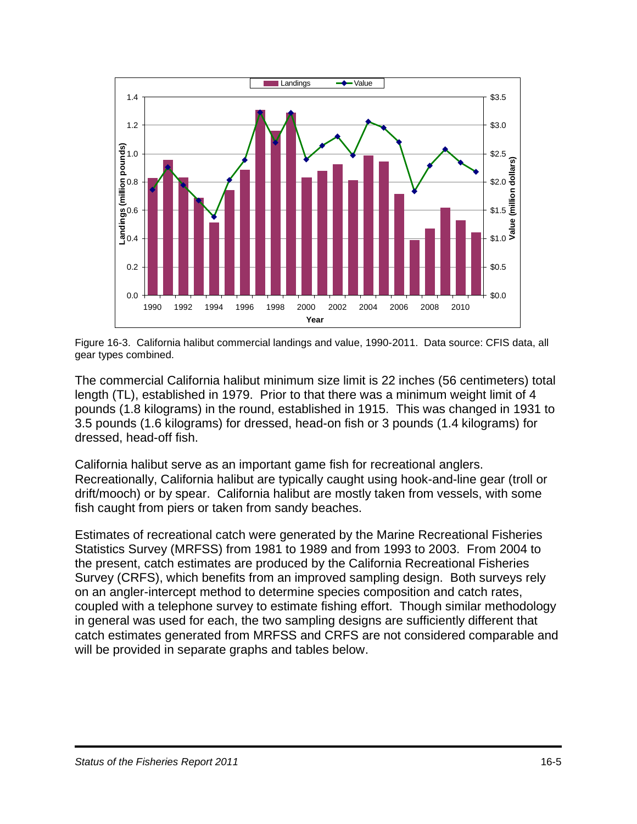

Figure 16-3. California halibut commercial landings and value, 1990-2011. Data source: CFIS data, all gear types combined.

The commercial California halibut minimum size limit is 22 inches (56 centimeters) total length (TL), established in 1979. Prior to that there was a minimum weight limit of 4 pounds (1.8 kilograms) in the round, established in 1915. This was changed in 1931 to 3.5 pounds (1.6 kilograms) for dressed, head-on fish or 3 pounds (1.4 kilograms) for dressed, head-off fish.

California halibut serve as an important game fish for recreational anglers. Recreationally, California halibut are typically caught using hook-and-line gear (troll or drift/mooch) or by spear. California halibut are mostly taken from vessels, with some fish caught from piers or taken from sandy beaches.

Estimates of recreational catch were generated by the Marine Recreational Fisheries Statistics Survey (MRFSS) from 1981 to 1989 and from 1993 to 2003. From 2004 to the present, catch estimates are produced by the California Recreational Fisheries Survey (CRFS), which benefits from an improved sampling design. Both surveys rely on an angler-intercept method to determine species composition and catch rates, coupled with a telephone survey to estimate fishing effort. Though similar methodology in general was used for each, the two sampling designs are sufficiently different that catch estimates generated from MRFSS and CRFS are not considered comparable and will be provided in separate graphs and tables below.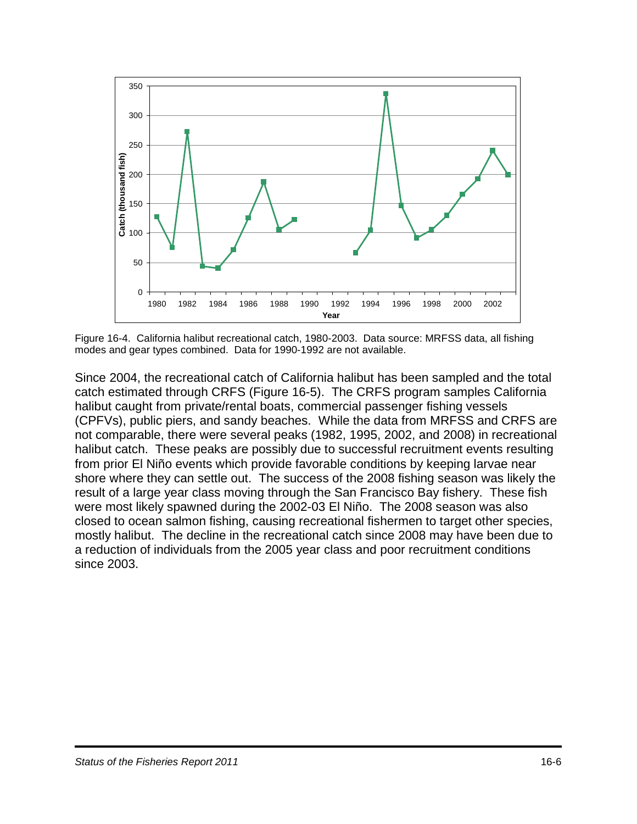

Figure 16-4. California halibut recreational catch, 1980-2003. Data source: MRFSS data, all fishing modes and gear types combined. Data for 1990-1992 are not available.

Since 2004, the recreational catch of California halibut has been sampled and the total catch estimated through CRFS (Figure 16-5). The CRFS program samples California halibut caught from private/rental boats, commercial passenger fishing vessels (CPFVs), public piers, and sandy beaches. While the data from MRFSS and CRFS are not comparable, there were several peaks (1982, 1995, 2002, and 2008) in recreational halibut catch. These peaks are possibly due to successful recruitment events resulting from prior El Niño events which provide favorable conditions by keeping larvae near shore where they can settle out. The success of the 2008 fishing season was likely the result of a large year class moving through the San Francisco Bay fishery. These fish were most likely spawned during the 2002-03 El Niño. The 2008 season was also closed to ocean salmon fishing, causing recreational fishermen to target other species, mostly halibut. The decline in the recreational catch since 2008 may have been due to a reduction of individuals from the 2005 year class and poor recruitment conditions since 2003.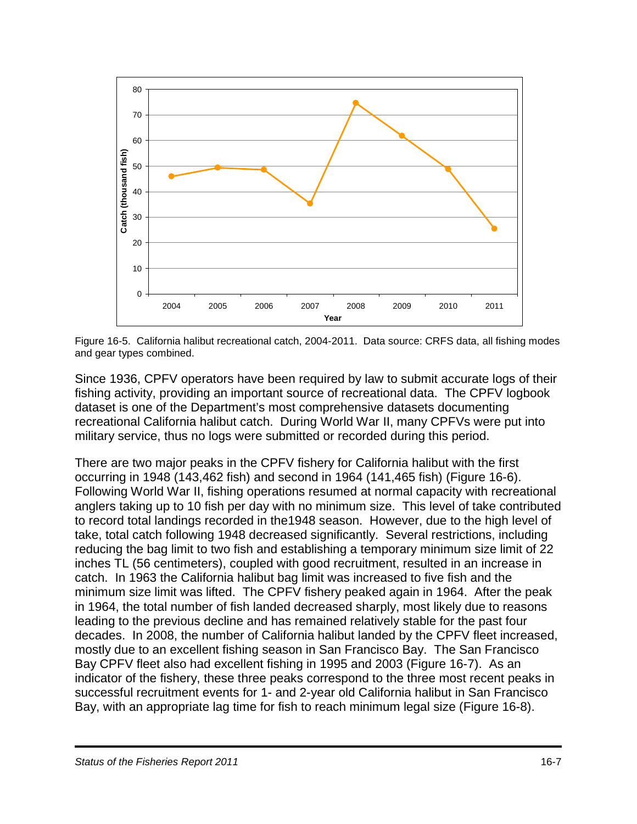

Figure 16-5. California halibut recreational catch, 2004-2011. Data source: CRFS data, all fishing modes and gear types combined.

Since 1936, CPFV operators have been required by law to submit accurate logs of their fishing activity, providing an important source of recreational data. The CPFV logbook dataset is one of the Department's most comprehensive datasets documenting recreational California halibut catch. During World War II, many CPFVs were put into military service, thus no logs were submitted or recorded during this period.

There are two major peaks in the CPFV fishery for California halibut with the first occurring in 1948 (143,462 fish) and second in 1964 (141,465 fish) (Figure 16-6). Following World War II, fishing operations resumed at normal capacity with recreational anglers taking up to 10 fish per day with no minimum size. This level of take contributed to record total landings recorded in the1948 season. However, due to the high level of take, total catch following 1948 decreased significantly. Several restrictions, including reducing the bag limit to two fish and establishing a temporary minimum size limit of 22 inches TL (56 centimeters), coupled with good recruitment, resulted in an increase in catch. In 1963 the California halibut bag limit was increased to five fish and the minimum size limit was lifted. The CPFV fishery peaked again in 1964. After the peak in 1964, the total number of fish landed decreased sharply, most likely due to reasons leading to the previous decline and has remained relatively stable for the past four decades. In 2008, the number of California halibut landed by the CPFV fleet increased, mostly due to an excellent fishing season in San Francisco Bay. The San Francisco Bay CPFV fleet also had excellent fishing in 1995 and 2003 (Figure 16-7). As an indicator of the fishery, these three peaks correspond to the three most recent peaks in successful recruitment events for 1- and 2-year old California halibut in San Francisco Bay, with an appropriate lag time for fish to reach minimum legal size (Figure 16-8).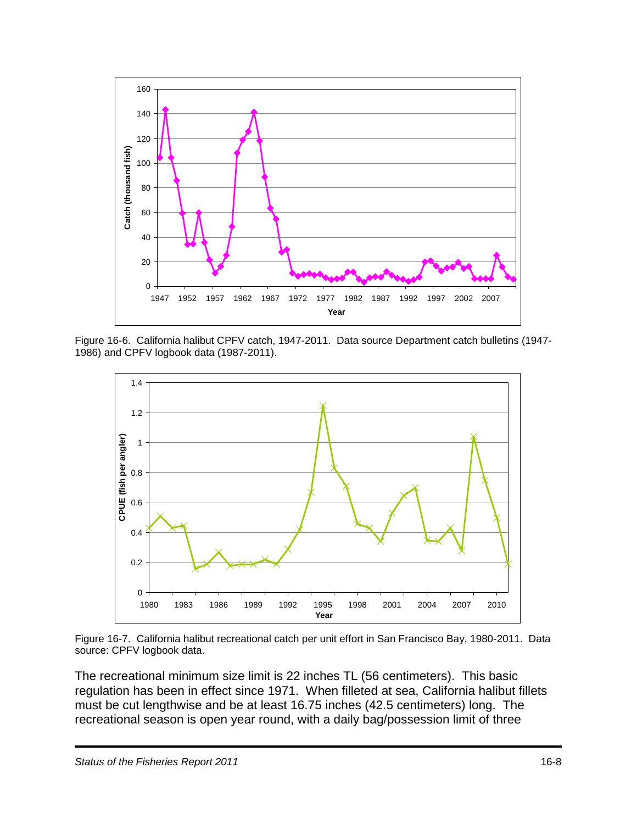

Figure 16-6. California halibut CPFV catch, 1947-2011. Data source Department catch bulletins (1947- 1986) and CPFV logbook data (1987-2011).



Figure 16-7. California halibut recreational catch per unit effort in San Francisco Bay, 1980-2011. Data source: CPFV logbook data.

The recreational minimum size limit is 22 inches TL (56 centimeters). This basic regulation has been in effect since 1971. When filleted at sea, California halibut fillets must be cut lengthwise and be at least 16.75 inches (42.5 centimeters) long. The recreational season is open year round, with a daily bag/possession limit of three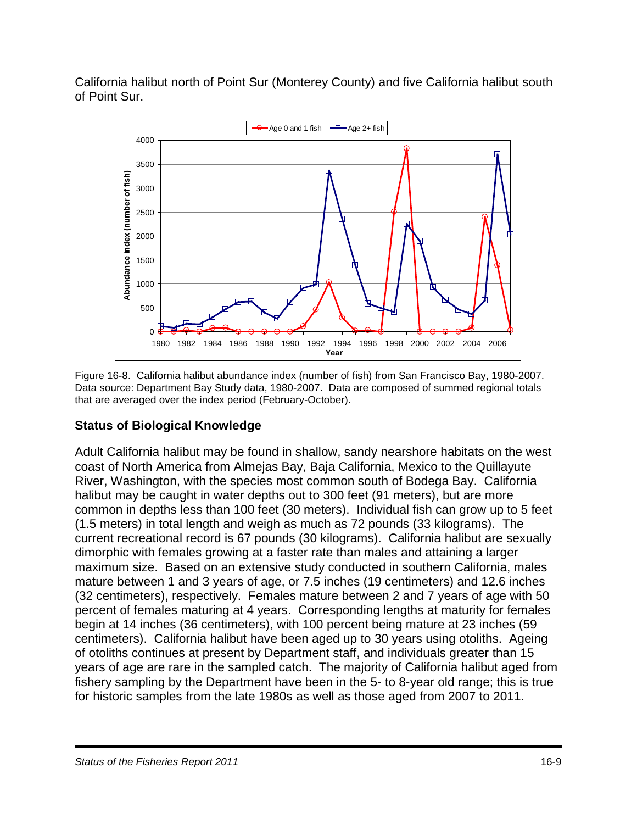California halibut north of Point Sur (Monterey County) and five California halibut south of Point Sur.



Figure 16-8. California halibut abundance index (number of fish) from San Francisco Bay, 1980-2007. Data source: Department Bay Study data, 1980-2007. Data are composed of summed regional totals that are averaged over the index period (February-October).

## **Status of Biological Knowledge**

Adult California halibut may be found in shallow, sandy nearshore habitats on the west coast of North America from Almejas Bay, Baja California, Mexico to the Quillayute River, Washington, with the species most common south of Bodega Bay. California halibut may be caught in water depths out to 300 feet (91 meters), but are more common in depths less than 100 feet (30 meters). Individual fish can grow up to 5 feet (1.5 meters) in total length and weigh as much as 72 pounds (33 kilograms). The current recreational record is 67 pounds (30 kilograms). California halibut are sexually dimorphic with females growing at a faster rate than males and attaining a larger maximum size. Based on an extensive study conducted in southern California, males mature between 1 and 3 years of age, or 7.5 inches (19 centimeters) and 12.6 inches (32 centimeters), respectively. Females mature between 2 and 7 years of age with 50 percent of females maturing at 4 years. Corresponding lengths at maturity for females begin at 14 inches (36 centimeters), with 100 percent being mature at 23 inches (59 centimeters). California halibut have been aged up to 30 years using otoliths. Ageing of otoliths continues at present by Department staff, and individuals greater than 15 years of age are rare in the sampled catch. The majority of California halibut aged from fishery sampling by the Department have been in the 5- to 8-year old range; this is true for historic samples from the late 1980s as well as those aged from 2007 to 2011.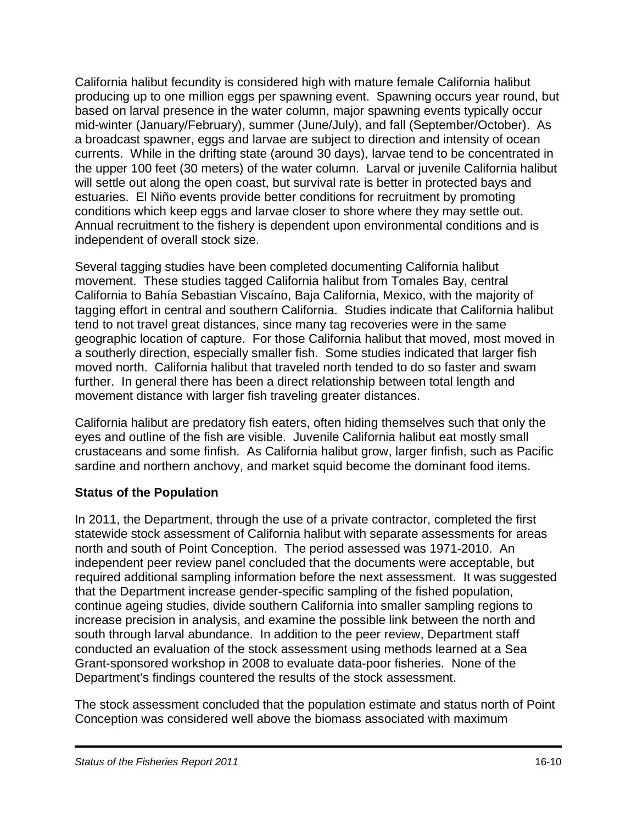California halibut fecundity is considered high with mature female California halibut producing up to one million eggs per spawning event. Spawning occurs year round, but based on larval presence in the water column, major spawning events typically occur mid-winter (January/February), summer (June/July), and fall (September/October). As a broadcast spawner, eggs and larvae are subject to direction and intensity of ocean currents. While in the drifting state (around 30 days), larvae tend to be concentrated in the upper 100 feet (30 meters) of the water column. Larval or juvenile California halibut will settle out along the open coast, but survival rate is better in protected bays and estuaries. El Niño events provide better conditions for recruitment by promoting conditions which keep eggs and larvae closer to shore where they may settle out. Annual recruitment to the fishery is dependent upon environmental conditions and is independent of overall stock size.

Several tagging studies have been completed documenting California halibut movement. These studies tagged California halibut from Tomales Bay, central California to Bahía Sebastian Viscaíno, Baja California, Mexico, with the majority of tagging effort in central and southern California. Studies indicate that California halibut tend to not travel great distances, since many tag recoveries were in the same geographic location of capture. For those California halibut that moved, most moved in a southerly direction, especially smaller fish. Some studies indicated that larger fish moved north. California halibut that traveled north tended to do so faster and swam further. In general there has been a direct relationship between total length and movement distance with larger fish traveling greater distances.

California halibut are predatory fish eaters, often hiding themselves such that only the eyes and outline of the fish are visible. Juvenile California halibut eat mostly small crustaceans and some finfish. As California halibut grow, larger finfish, such as Pacific sardine and northern anchovy, and market squid become the dominant food items.

## **Status of the Population**

In 2011, the Department, through the use of a private contractor, completed the first statewide stock assessment of California halibut with separate assessments for areas north and south of Point Conception. The period assessed was 1971-2010. An independent peer review panel concluded that the documents were acceptable, but required additional sampling information before the next assessment. It was suggested that the Department increase gender-specific sampling of the fished population, continue ageing studies, divide southern California into smaller sampling regions to increase precision in analysis, and examine the possible link between the north and south through larval abundance. In addition to the peer review, Department staff conducted an evaluation of the stock assessment using methods learned at a Sea Grant-sponsored workshop in 2008 to evaluate data-poor fisheries. None of the Department's findings countered the results of the stock assessment.

The stock assessment concluded that the population estimate and status north of Point Conception was considered well above the biomass associated with maximum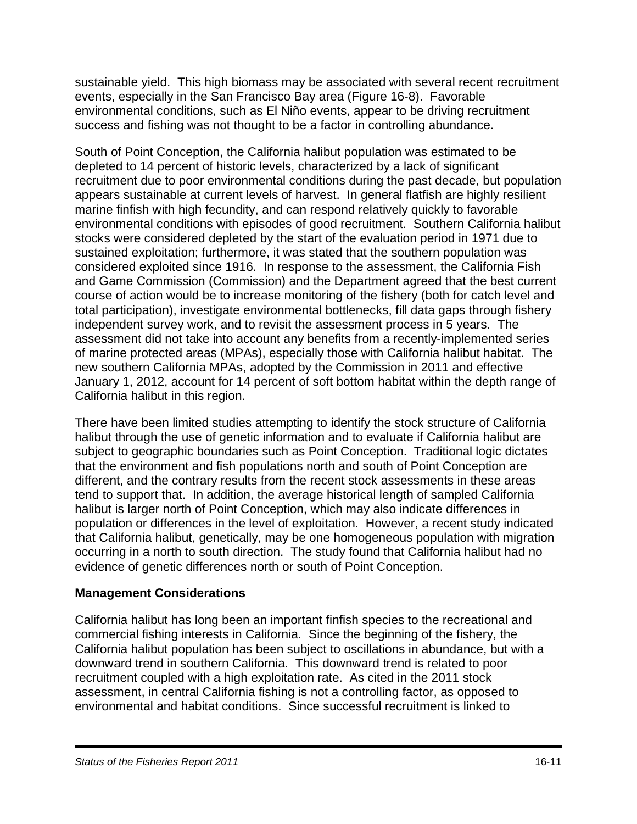sustainable yield. This high biomass may be associated with several recent recruitment events, especially in the San Francisco Bay area (Figure 16-8). Favorable environmental conditions, such as El Niño events, appear to be driving recruitment success and fishing was not thought to be a factor in controlling abundance.

South of Point Conception, the California halibut population was estimated to be depleted to 14 percent of historic levels, characterized by a lack of significant recruitment due to poor environmental conditions during the past decade, but population appears sustainable at current levels of harvest. In general flatfish are highly resilient marine finfish with high fecundity, and can respond relatively quickly to favorable environmental conditions with episodes of good recruitment. Southern California halibut stocks were considered depleted by the start of the evaluation period in 1971 due to sustained exploitation; furthermore, it was stated that the southern population was considered exploited since 1916. In response to the assessment, the California Fish and Game Commission (Commission) and the Department agreed that the best current course of action would be to increase monitoring of the fishery (both for catch level and total participation), investigate environmental bottlenecks, fill data gaps through fishery independent survey work, and to revisit the assessment process in 5 years. The assessment did not take into account any benefits from a recently-implemented series of marine protected areas (MPAs), especially those with California halibut habitat. The new southern California MPAs, adopted by the Commission in 2011 and effective January 1, 2012, account for 14 percent of soft bottom habitat within the depth range of California halibut in this region.

There have been limited studies attempting to identify the stock structure of California halibut through the use of genetic information and to evaluate if California halibut are subject to geographic boundaries such as Point Conception. Traditional logic dictates that the environment and fish populations north and south of Point Conception are different, and the contrary results from the recent stock assessments in these areas tend to support that. In addition, the average historical length of sampled California halibut is larger north of Point Conception, which may also indicate differences in population or differences in the level of exploitation. However, a recent study indicated that California halibut, genetically, may be one homogeneous population with migration occurring in a north to south direction. The study found that California halibut had no evidence of genetic differences north or south of Point Conception.

#### **Management Considerations**

California halibut has long been an important finfish species to the recreational and commercial fishing interests in California. Since the beginning of the fishery, the California halibut population has been subject to oscillations in abundance, but with a downward trend in southern California. This downward trend is related to poor recruitment coupled with a high exploitation rate. As cited in the 2011 stock assessment, in central California fishing is not a controlling factor, as opposed to environmental and habitat conditions. Since successful recruitment is linked to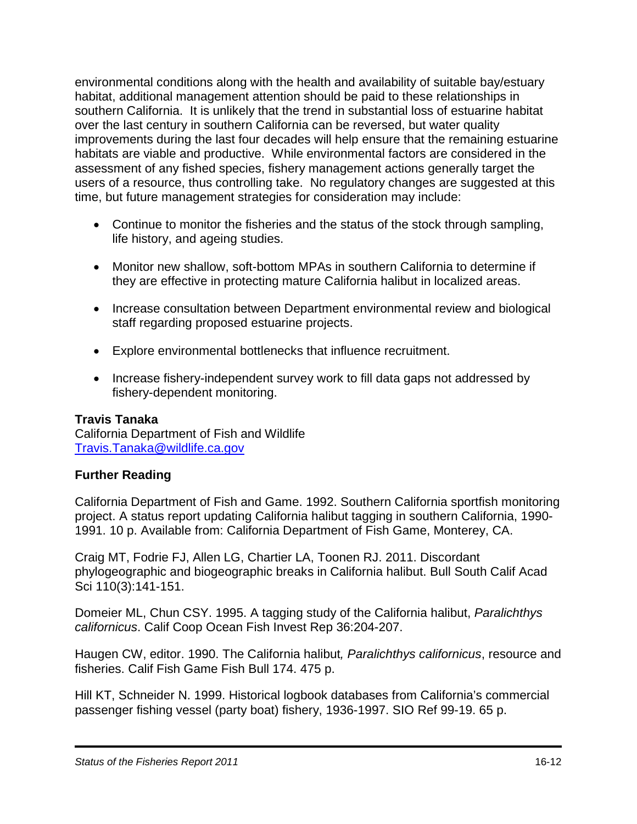environmental conditions along with the health and availability of suitable bay/estuary habitat, additional management attention should be paid to these relationships in southern California. It is unlikely that the trend in substantial loss of estuarine habitat over the last century in southern California can be reversed, but water quality improvements during the last four decades will help ensure that the remaining estuarine habitats are viable and productive. While environmental factors are considered in the assessment of any fished species, fishery management actions generally target the users of a resource, thus controlling take. No regulatory changes are suggested at this time, but future management strategies for consideration may include:

- Continue to monitor the fisheries and the status of the stock through sampling, life history, and ageing studies.
- Monitor new shallow, soft-bottom MPAs in southern California to determine if they are effective in protecting mature California halibut in localized areas.
- Increase consultation between Department environmental review and biological staff regarding proposed estuarine projects.
- Explore environmental bottlenecks that influence recruitment.
- Increase fishery-independent survey work to fill data gaps not addressed by fishery-dependent monitoring.

#### **Travis Tanaka**

California Department of Fish and Wildlife [Travis.Tanaka@wildlife.ca.gov](mailto:Travis.Tanaka@wildlife.ca.gov)

## **Further Reading**

California Department of Fish and Game. 1992. Southern California sportfish monitoring project. A status report updating California halibut tagging in southern California, 1990- 1991. 10 p. Available from: California Department of Fish Game, Monterey, CA.

Craig MT, Fodrie FJ, Allen LG, Chartier LA, Toonen RJ. 2011. Discordant phylogeographic and biogeographic breaks in California halibut. Bull South Calif Acad Sci 110(3):141-151.

Domeier ML, Chun CSY. 1995. A tagging study of the California halibut, *Paralichthys californicus*. Calif Coop Ocean Fish Invest Rep 36:204-207.

Haugen CW, editor. 1990. The California halibut*, Paralichthys californicus*, resource and fisheries. Calif Fish Game Fish Bull 174. 475 p.

Hill KT, Schneider N. 1999. Historical logbook databases from California's commercial passenger fishing vessel (party boat) fishery, 1936-1997. SIO Ref 99-19. 65 p.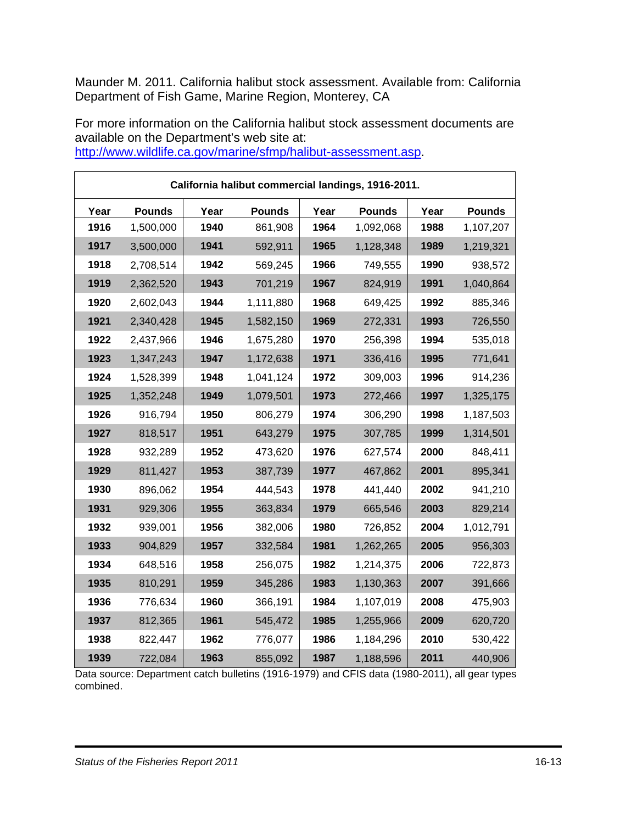Maunder M. 2011. California halibut stock assessment. Available from: California Department of Fish Game, Marine Region, Monterey, CA

For more information on the California halibut stock assessment documents are available on the Department's web site at:

| California halibut commercial landings, 1916-2011. |               |      |               |      |               |      |               |
|----------------------------------------------------|---------------|------|---------------|------|---------------|------|---------------|
| Year                                               | <b>Pounds</b> | Year | <b>Pounds</b> | Year | <b>Pounds</b> | Year | <b>Pounds</b> |
| 1916                                               | 1,500,000     | 1940 | 861,908       | 1964 | 1,092,068     | 1988 | 1,107,207     |
| 1917                                               | 3,500,000     | 1941 | 592,911       | 1965 | 1,128,348     | 1989 | 1,219,321     |
| 1918                                               | 2,708,514     | 1942 | 569,245       | 1966 | 749,555       | 1990 | 938,572       |
| 1919                                               | 2,362,520     | 1943 | 701,219       | 1967 | 824,919       | 1991 | 1,040,864     |
| 1920                                               | 2,602,043     | 1944 | 1,111,880     | 1968 | 649,425       | 1992 | 885,346       |
| 1921                                               | 2,340,428     | 1945 | 1,582,150     | 1969 | 272,331       | 1993 | 726,550       |
| 1922                                               | 2,437,966     | 1946 | 1,675,280     | 1970 | 256,398       | 1994 | 535,018       |
| 1923                                               | 1,347,243     | 1947 | 1,172,638     | 1971 | 336,416       | 1995 | 771,641       |
| 1924                                               | 1,528,399     | 1948 | 1,041,124     | 1972 | 309,003       | 1996 | 914,236       |
| 1925                                               | 1,352,248     | 1949 | 1,079,501     | 1973 | 272,466       | 1997 | 1,325,175     |
| 1926                                               | 916,794       | 1950 | 806,279       | 1974 | 306,290       | 1998 | 1,187,503     |
| 1927                                               | 818,517       | 1951 | 643,279       | 1975 | 307,785       | 1999 | 1,314,501     |
| 1928                                               | 932,289       | 1952 | 473,620       | 1976 | 627,574       | 2000 | 848,411       |
| 1929                                               | 811,427       | 1953 | 387,739       | 1977 | 467,862       | 2001 | 895,341       |
| 1930                                               | 896,062       | 1954 | 444,543       | 1978 | 441,440       | 2002 | 941,210       |
| 1931                                               | 929,306       | 1955 | 363,834       | 1979 | 665,546       | 2003 | 829,214       |
| 1932                                               | 939,001       | 1956 | 382,006       | 1980 | 726,852       | 2004 | 1,012,791     |
| 1933                                               | 904,829       | 1957 | 332,584       | 1981 | 1,262,265     | 2005 | 956,303       |
| 1934                                               | 648,516       | 1958 | 256,075       | 1982 | 1,214,375     | 2006 | 722,873       |
| 1935                                               | 810,291       | 1959 | 345,286       | 1983 | 1,130,363     | 2007 | 391,666       |
| 1936                                               | 776,634       | 1960 | 366,191       | 1984 | 1,107,019     | 2008 | 475,903       |
| 1937                                               | 812,365       | 1961 | 545,472       | 1985 | 1,255,966     | 2009 | 620,720       |
| 1938                                               | 822,447       | 1962 | 776,077       | 1986 | 1,184,296     | 2010 | 530,422       |
| 1939                                               | 722,084       | 1963 | 855,092       | 1987 | 1,188,596     | 2011 | 440,906       |

[http://www.wildlife.ca.gov/marine/sfmp/halibut-assessment.asp.](http://www.dfg.ca.gov/marine/sfmp/halibut-assessment.asp)

Data source: Department catch bulletins (1916-1979) and CFIS data (1980-2011), all gear types combined.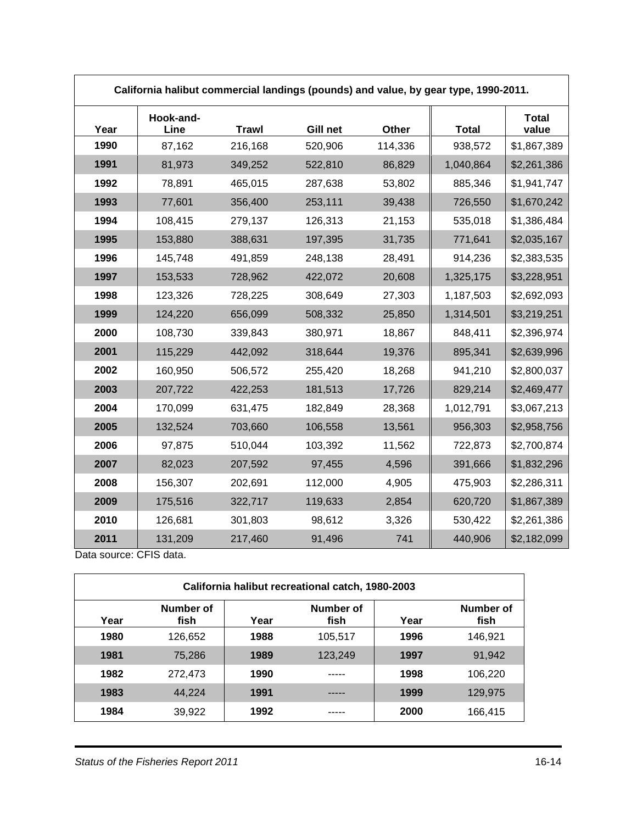| California halibut commercial landings (pounds) and value, by gear type, 1990-2011. |                   |              |          |         |              |                |  |
|-------------------------------------------------------------------------------------|-------------------|--------------|----------|---------|--------------|----------------|--|
| Year                                                                                | Hook-and-<br>Line | <b>Trawl</b> | Gill net | Other   | <b>Total</b> | Total<br>value |  |
| 1990                                                                                | 87,162            | 216,168      | 520,906  | 114,336 | 938,572      | \$1,867,389    |  |
| 1991                                                                                | 81,973            | 349,252      | 522,810  | 86,829  | 1,040,864    | \$2,261,386    |  |
| 1992                                                                                | 78,891            | 465,015      | 287,638  | 53,802  | 885,346      | \$1,941,747    |  |
| 1993                                                                                | 77,601            | 356,400      | 253,111  | 39,438  | 726,550      | \$1,670,242    |  |
| 1994                                                                                | 108,415           | 279,137      | 126,313  | 21,153  | 535,018      | \$1,386,484    |  |
| 1995                                                                                | 153,880           | 388,631      | 197,395  | 31,735  | 771,641      | \$2,035,167    |  |
| 1996                                                                                | 145,748           | 491,859      | 248,138  | 28,491  | 914,236      | \$2,383,535    |  |
| 1997                                                                                | 153,533           | 728,962      | 422,072  | 20,608  | 1,325,175    | \$3,228,951    |  |
| 1998                                                                                | 123,326           | 728,225      | 308,649  | 27,303  | 1,187,503    | \$2,692,093    |  |
| 1999                                                                                | 124,220           | 656,099      | 508,332  | 25,850  | 1,314,501    | \$3,219,251    |  |
| 2000                                                                                | 108,730           | 339,843      | 380,971  | 18,867  | 848,411      | \$2,396,974    |  |
| 2001                                                                                | 115,229           | 442,092      | 318,644  | 19,376  | 895,341      | \$2,639,996    |  |
| 2002                                                                                | 160,950           | 506,572      | 255,420  | 18,268  | 941,210      | \$2,800,037    |  |
| 2003                                                                                | 207,722           | 422,253      | 181,513  | 17,726  | 829,214      | \$2,469,477    |  |
| 2004                                                                                | 170,099           | 631,475      | 182,849  | 28,368  | 1,012,791    | \$3,067,213    |  |
| 2005                                                                                | 132,524           | 703,660      | 106,558  | 13,561  | 956,303      | \$2,958,756    |  |
| 2006                                                                                | 97,875            | 510,044      | 103,392  | 11,562  | 722,873      | \$2,700,874    |  |
| 2007                                                                                | 82,023            | 207,592      | 97,455   | 4,596   | 391,666      | \$1,832,296    |  |
| 2008                                                                                | 156,307           | 202,691      | 112,000  | 4,905   | 475,903      | \$2,286,311    |  |
| 2009                                                                                | 175,516           | 322,717      | 119,633  | 2,854   | 620,720      | \$1,867,389    |  |
| 2010                                                                                | 126,681           | 301,803      | 98,612   | 3,326   | 530,422      | \$2,261,386    |  |
| 2011                                                                                | 131,209           | 217,460      | 91,496   | 741     | 440,906      | \$2,182,099    |  |

Data source: CFIS data.

| California halibut recreational catch, 1980-2003 |                   |      |                   |      |                   |  |
|--------------------------------------------------|-------------------|------|-------------------|------|-------------------|--|
| Year                                             | Number of<br>fish | Year | Number of<br>fish | Year | Number of<br>fish |  |
| 1980                                             | 126.652           | 1988 | 105.517           | 1996 | 146,921           |  |
| 1981                                             | 75.286            | 1989 | 123,249           | 1997 | 91,942            |  |
| 1982                                             | 272.473           | 1990 |                   | 1998 | 106.220           |  |
| 1983                                             | 44.224            | 1991 |                   | 1999 | 129,975           |  |
| 1984                                             | 39,922            | 1992 |                   | 2000 | 166,415           |  |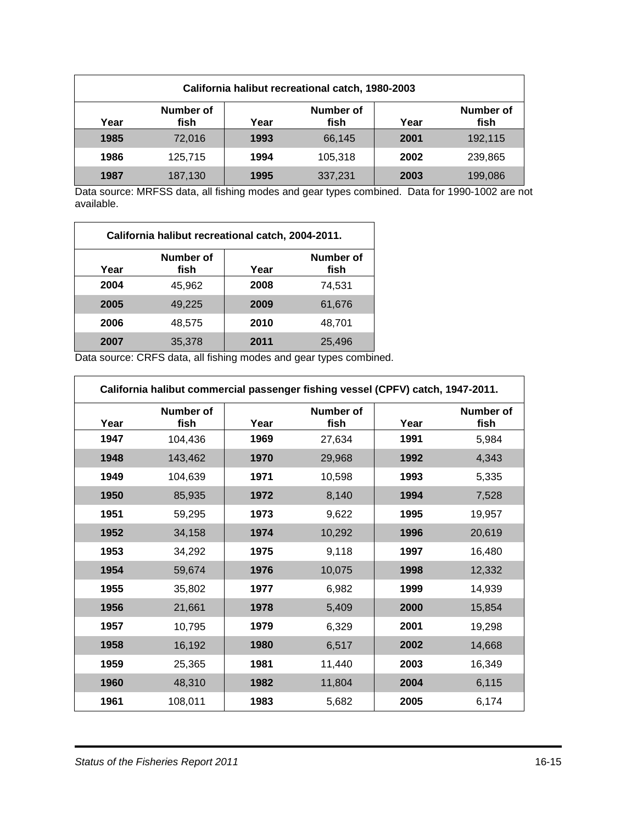| California halibut recreational catch, 1980-2003 |                                                                             |      |         |      |         |  |
|--------------------------------------------------|-----------------------------------------------------------------------------|------|---------|------|---------|--|
| Year                                             | Number of<br>Number of<br>Number of<br>fish<br>fish<br>fish<br>Year<br>Year |      |         |      |         |  |
| 1985                                             | 72,016                                                                      | 1993 | 66,145  | 2001 | 192,115 |  |
| 1986                                             | 125.715                                                                     | 1994 | 105.318 | 2002 | 239,865 |  |
| 1987                                             | 187,130                                                                     | 1995 | 337,231 | 2003 | 199,086 |  |

Data source: MRFSS data, all fishing modes and gear types combined. Data for 1990-1002 are not available.

| California halibut recreational catch, 2004-2011. |                   |      |                   |  |  |  |  |
|---------------------------------------------------|-------------------|------|-------------------|--|--|--|--|
| Year                                              | Number of<br>fish | Year | Number of<br>fish |  |  |  |  |
| 2004                                              | 45,962            | 2008 | 74,531            |  |  |  |  |
| 2005                                              | 49,225            | 2009 | 61,676            |  |  |  |  |
| 2006                                              | 48,575            | 2010 | 48,701            |  |  |  |  |
| 2007                                              | 35,378            | 2011 | 25,496            |  |  |  |  |

Data source: CRFS data, all fishing modes and gear types combined.

|      | California halibut commercial passenger fishing vessel (CPFV) catch, 1947-2011. |      |                   |      |                   |  |  |
|------|---------------------------------------------------------------------------------|------|-------------------|------|-------------------|--|--|
| Year | Number of<br>fish                                                               | Year | Number of<br>fish | Year | Number of<br>fish |  |  |
| 1947 | 104,436                                                                         | 1969 | 27,634            | 1991 | 5,984             |  |  |
| 1948 | 143,462                                                                         | 1970 | 29,968            | 1992 | 4,343             |  |  |
| 1949 | 104,639                                                                         | 1971 | 10,598            | 1993 | 5,335             |  |  |
| 1950 | 85,935                                                                          | 1972 | 8,140             | 1994 | 7,528             |  |  |
| 1951 | 59,295                                                                          | 1973 | 9,622             | 1995 | 19,957            |  |  |
| 1952 | 34,158                                                                          | 1974 | 10,292            | 1996 | 20,619            |  |  |
| 1953 | 34,292                                                                          | 1975 | 9,118             | 1997 | 16,480            |  |  |
| 1954 | 59,674                                                                          | 1976 | 10,075            | 1998 | 12,332            |  |  |
| 1955 | 35,802                                                                          | 1977 | 6,982             | 1999 | 14,939            |  |  |
| 1956 | 21,661                                                                          | 1978 | 5,409             | 2000 | 15,854            |  |  |
| 1957 | 10,795                                                                          | 1979 | 6,329             | 2001 | 19,298            |  |  |
| 1958 | 16,192                                                                          | 1980 | 6,517             | 2002 | 14,668            |  |  |
| 1959 | 25,365                                                                          | 1981 | 11,440            | 2003 | 16,349            |  |  |
| 1960 | 48,310                                                                          | 1982 | 11,804            | 2004 | 6,115             |  |  |
| 1961 | 108,011                                                                         | 1983 | 5,682             | 2005 | 6,174             |  |  |